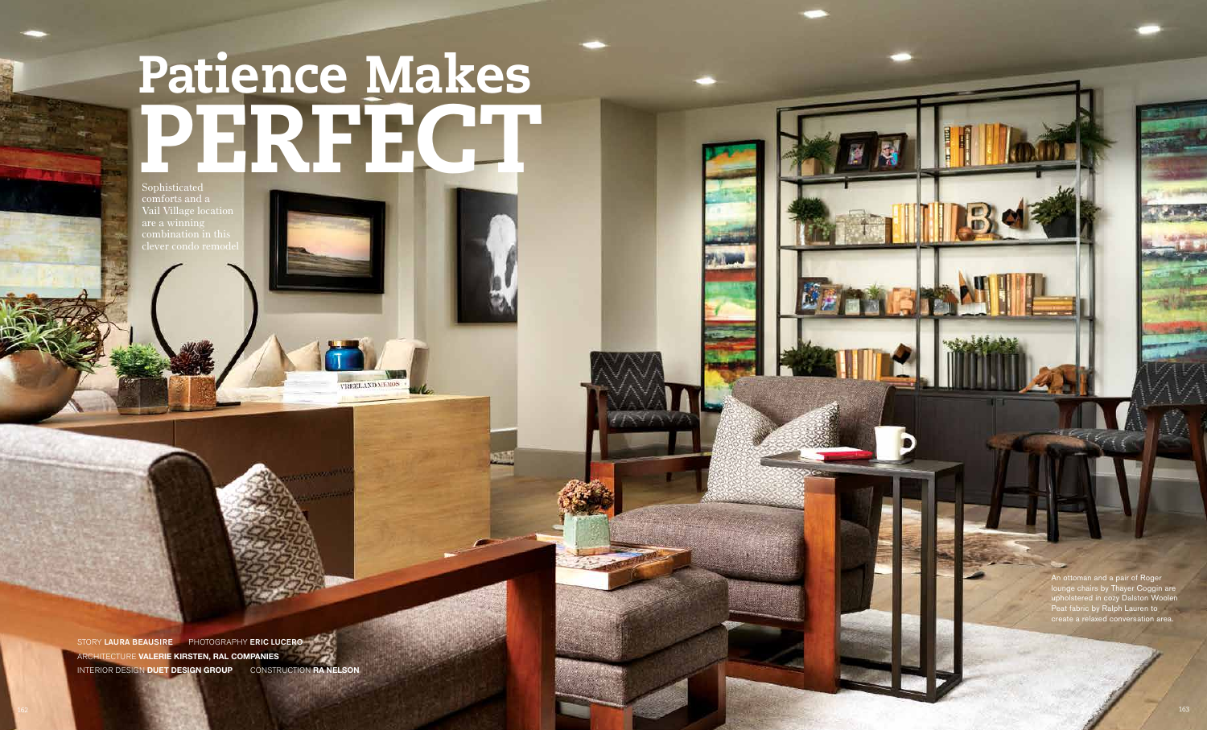## Patience Makes PERFECT

Sophisticated comforts and a Vail Village location are a winning combination in this clever condo remod

VREELAND MEMOS

An ottoman and a pair of Roger lounge chairs by Thayer Coggin are upholstered in cozy Dalston Woolen Peat fabric by Ralph Lauren to create a relaxed conversation area.

STORY LAURA BEAUSIRE PHOTOGRAPHY ERIC LUCERO ARCHITECTURE **VALERIE KIRSTEN, RAL COMPANIES** INTERIOR DESIGN **DUET DESIGN GROUP** CONSTRUCTION **RA NELSON**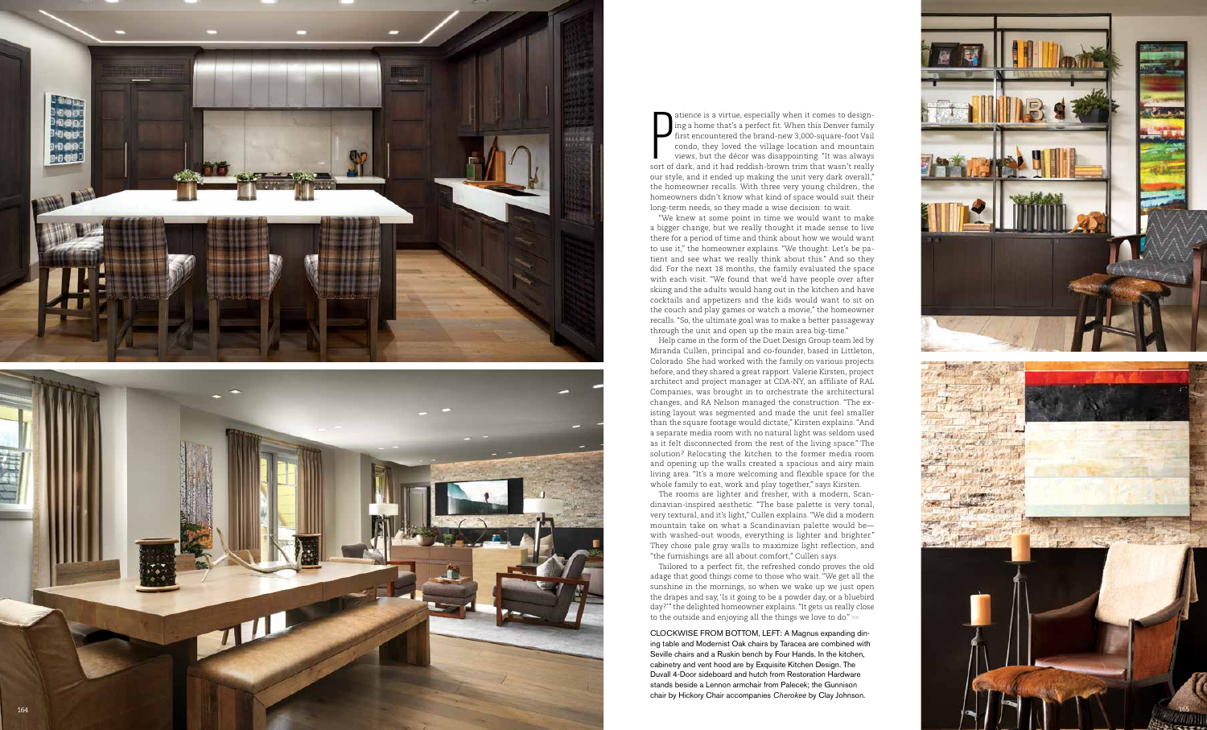atience is a virtue, especially when it comes to design ing a home that's a perfect fit. When this Denver family first encountered the brand-new 3,000-square-foot Vail condo, they loved the village location and mountain views, but the décor was disappointing. "It was always sort of dark, and it had reddish-brown trim that wasn't really our style, and it ended up making the unit very dark overall," the homeowner recalls. With three very young children, the homeowners didn't know what kind of space would suit their long-term needs, so they made a wise decision: to wait. atien<br>
ing a<br>
first<br>
cond<br>
view

"We knew at some point in time we would want to make a bigger change, but we really thought it made sense to live there for a period of time and think about how we would want to use it," the homeowner explains. "We thought: Let's be pa tient and see what we really think about this." And so they did. For the next 18 months, the family evaluated the space with each visit. "We found that we'd have people over after skiing and the adults would hang out in the kitchen and have cocktails and appetizers and the kids would want to sit on the couch and play games or watch a movie," the homeowner recalls. "So, the ultimate goal was to make a better passageway through the unit and open up the main area big-time."



Help came in the form of the Duet Design Group team led by Miranda Cullen, principal and co-founder, based in Littleton, Colorado. She had worked with the family on various projects before, and they shared a great rapport. Valerie Kirsten, project architect and project manager at CDA-NY, an affiliate of RAL Companies, was brought in to orchestrate the architectural changes, and RA Nelson managed the construction. "The ex isting layout was segmented and made the unit feel smaller than the square footage would dictate," Kirsten explains. "And a separate media room with no natural light was seldom used as it felt disconnected from the rest of the living space." The solution? Relocating the kitchen to the former media room and opening up the walls created a spacious and airy main living area. "It's a more welcoming and flexible space for the whole family to eat, work and play together," says Kirsten. The rooms are lighter and fresher, with a modern, Scan dinavian-inspired aesthetic. "The base palette is very tonal, very textural, and it's light," Cullen explains. "We did a modern mountain take on what a Scandinavian palette would be with washed-out woods, everything is lighter and brighter." They chose pale gray walls to maximize light reflection, and

"the furnishings are all about comfort," Cullen says.

Tailored to a perfect fit, the refreshed condo proves the old adage that good things come to those who wait. "We get all the sunshine in the mornings, so when we wake up we just open the drapes and say, 'Is it going to be a powder day, or a bluebird day?'" the delighted homeowner explains. "It gets us really close to the outside and enjoying all the things we love to do." >>

CLOCKWISE FROM BOTTOM, LEFT: A Magnus expanding dining table and Modernist Oak chairs by Taracea are combined with Seville chairs and a Ruskin bench by Four Hands. In the kitchen, cabinetry and vent hood are by Exquisite Kitchen Design. The Duvall 4-Door sideboard and hutch from Restoration Hardware stands beside a Lennon armchair from Palecek; the Gunnison chair by Hickory Chair accompanies Cherokee by Clay Johnson.